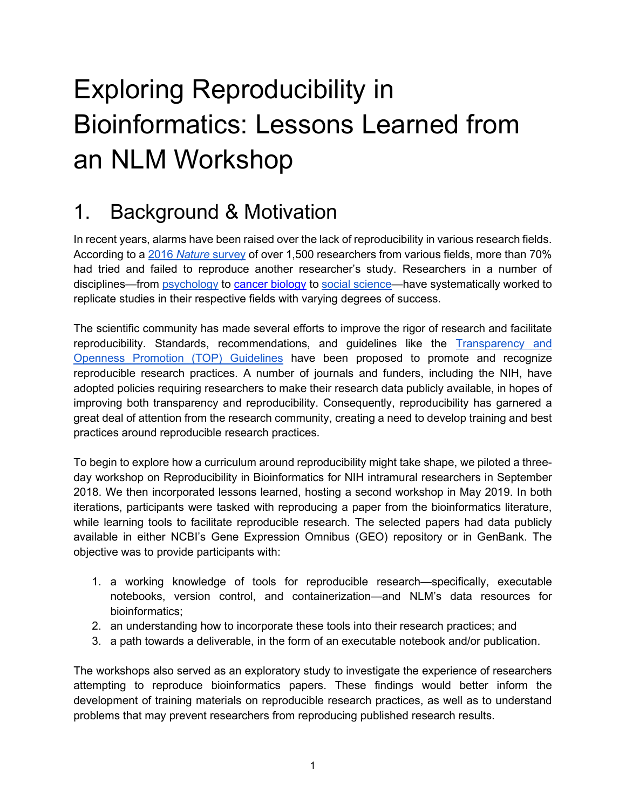# Exploring Reproducibility in Bioinformatics: Lessons Learned from an NLM Workshop

### 1. Background & Motivation

In recent years, alarms have been raised over the lack of reproducibility in various research fields. According to a [2016](https://www.nature.com/news/1-500-scientists-lift-the-lid-on-reproducibility-1.19970) *[Nature](https://www.nature.com/news/1-500-scientists-lift-the-lid-on-reproducibility-1.19970)* [survey](https://www.nature.com/news/1-500-scientists-lift-the-lid-on-reproducibility-1.19970) of over 1,500 researchers from various fields, more than 70% had tried and failed to reproduce another researcher's study. Researchers in a number of disciplines—from [psychology](http://science.sciencemag.org/content/349/6251/aac4716) to [cancer biology](http://www.sciencemag.org/news/2017/01/rigorous-replication-effort-succeeds-just-two-five-cancer-papers) to [social science—](https://www.nature.com/articles/s41562-018-0399-z)have systematically worked to replicate studies in their respective fields with varying degrees of success.

The scientific community has made several efforts to improve the rigor of research and facilitate reproducibility. Standards, recommendations, and guidelines like the [Transparency and](http://science.sciencemag.org/content/348/6242/1422)  [Openness Promotion \(TOP\) Guidelines](http://science.sciencemag.org/content/348/6242/1422) have been proposed to promote and recognize reproducible research practices. A number of journals and funders, including the NIH, have adopted policies requiring researchers to make their research data publicly available, in hopes of improving both transparency and reproducibility. Consequently, reproducibility has garnered a great deal of attention from the research community, creating a need to develop training and best practices around reproducible research practices.

To begin to explore how a curriculum around reproducibility might take shape, we piloted a threeday workshop on Reproducibility in Bioinformatics for NIH intramural researchers in September 2018. We then incorporated lessons learned, hosting a second workshop in May 2019. In both iterations, participants were tasked with reproducing a paper from the bioinformatics literature, while learning tools to facilitate reproducible research. The selected papers had data publicly available in either NCBI's Gene Expression Omnibus (GEO) repository or in GenBank. The objective was to provide participants with:

- 1. a working knowledge of tools for reproducible research—specifically, executable notebooks, version control, and containerization—and NLM's data resources for bioinformatics;
- 2. an understanding how to incorporate these tools into their research practices; and
- 3. a path towards a deliverable, in the form of an executable notebook and/or publication.

The workshops also served as an exploratory study to investigate the experience of researchers attempting to reproduce bioinformatics papers. These findings would better inform the development of training materials on reproducible research practices, as well as to understand problems that may prevent researchers from reproducing published research results.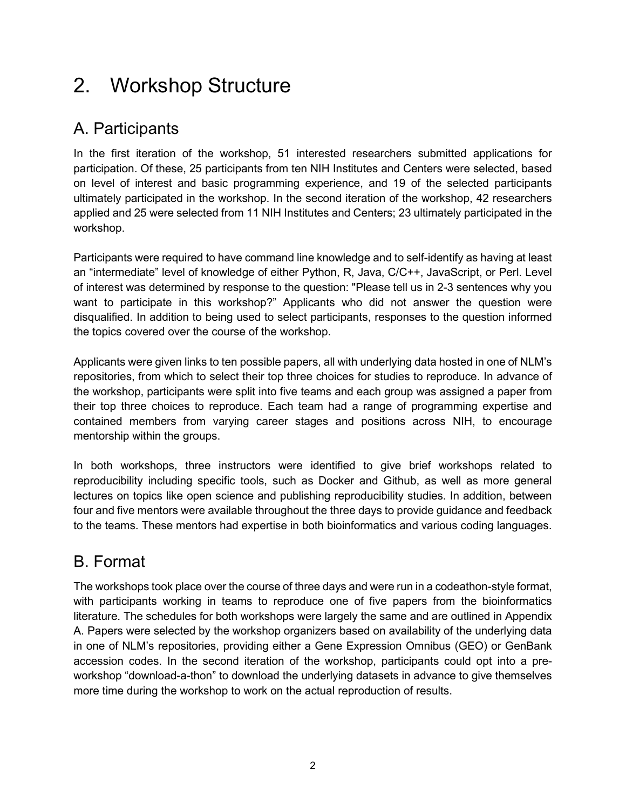### 2. Workshop Structure

#### A. Participants

In the first iteration of the workshop, 51 interested researchers submitted applications for participation. Of these, 25 participants from ten NIH Institutes and Centers were selected, based on level of interest and basic programming experience, and 19 of the selected participants ultimately participated in the workshop. In the second iteration of the workshop, 42 researchers applied and 25 were selected from 11 NIH Institutes and Centers; 23 ultimately participated in the workshop.

Participants were required to have command line knowledge and to self-identify as having at least an "intermediate" level of knowledge of either Python, R, Java, C/C++, JavaScript, or Perl. Level of interest was determined by response to the question: "Please tell us in 2-3 sentences why you want to participate in this workshop?" Applicants who did not answer the question were disqualified. In addition to being used to select participants, responses to the question informed the topics covered over the course of the workshop.

Applicants were given links to ten possible papers, all with underlying data hosted in one of NLM's repositories, from which to select their top three choices for studies to reproduce. In advance of the workshop, participants were split into five teams and each group was assigned a paper from their top three choices to reproduce. Each team had a range of programming expertise and contained members from varying career stages and positions across NIH, to encourage mentorship within the groups.

In both workshops, three instructors were identified to give brief workshops related to reproducibility including specific tools, such as Docker and Github, as well as more general lectures on topics like open science and publishing reproducibility studies. In addition, between four and five mentors were available throughout the three days to provide guidance and feedback to the teams. These mentors had expertise in both bioinformatics and various coding languages.

#### B. Format

The workshops took place over the course of three days and were run in a codeathon-style format, with participants working in teams to reproduce one of five papers from the bioinformatics literature. The schedules for both workshops were largely the same and are outlined in Appendix A. Papers were selected by the workshop organizers based on availability of the underlying data in one of NLM's repositories, providing either a Gene Expression Omnibus (GEO) or GenBank accession codes. In the second iteration of the workshop, participants could opt into a preworkshop "download-a-thon" to download the underlying datasets in advance to give themselves more time during the workshop to work on the actual reproduction of results.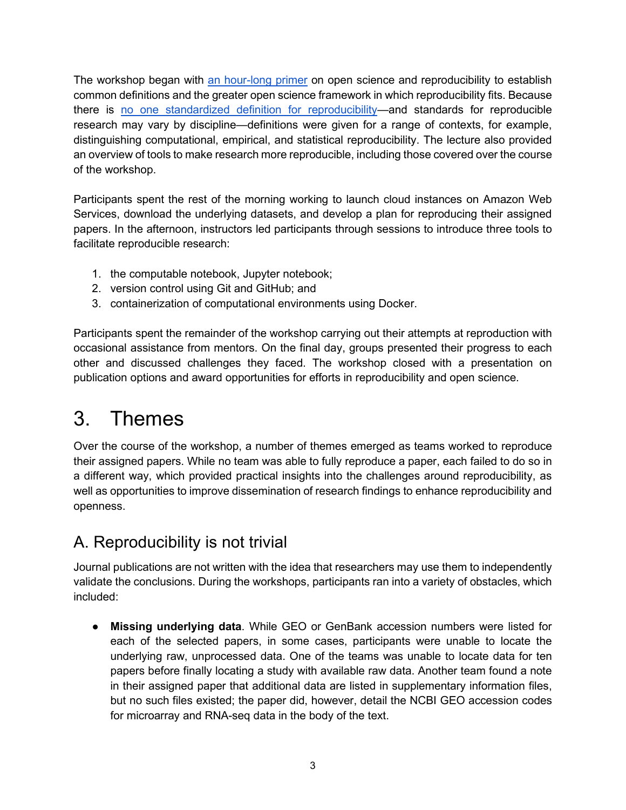The workshop began with [an hour-long primer](https://github.com/burkesquires/nlm_reproducibility_workshop/blob/master/NLM%20Reprosuciblity%20Workshop%202018.pdf) on open science and reproducibility to establish common definitions and the greater open science framework in which reproducibility fits. Because there is [no one standardized definition for reproducibility—](https://www.ncbi.nlm.nih.gov/pmc/articles/PMC5778115/)and standards for reproducible research may vary by discipline—definitions were given for a range of contexts, for example, distinguishing computational, empirical, and statistical reproducibility. The lecture also provided an overview of tools to make research more reproducible, including those covered over the course of the workshop.

Participants spent the rest of the morning working to launch cloud instances on Amazon Web Services, download the underlying datasets, and develop a plan for reproducing their assigned papers. In the afternoon, instructors led participants through sessions to introduce three tools to facilitate reproducible research:

- 1. the computable notebook, Jupyter notebook;
- 2. version control using Git and GitHub; and
- 3. containerization of computational environments using Docker.

Participants spent the remainder of the workshop carrying out their attempts at reproduction with occasional assistance from mentors. On the final day, groups presented their progress to each other and discussed challenges they faced. The workshop closed with a presentation on publication options and award opportunities for efforts in reproducibility and open science.

## 3. Themes

Over the course of the workshop, a number of themes emerged as teams worked to reproduce their assigned papers. While no team was able to fully reproduce a paper, each failed to do so in a different way, which provided practical insights into the challenges around reproducibility, as well as opportunities to improve dissemination of research findings to enhance reproducibility and openness.

### A. Reproducibility is not trivial

Journal publications are not written with the idea that researchers may use them to independently validate the conclusions. During the workshops, participants ran into a variety of obstacles, which included:

● **Missing underlying data**. While GEO or GenBank accession numbers were listed for each of the selected papers, in some cases, participants were unable to locate the underlying raw, unprocessed data. One of the teams was unable to locate data for ten papers before finally locating a study with available raw data. Another team found a note in their assigned paper that additional data are listed in supplementary information files, but no such files existed; the paper did, however, detail the NCBI GEO accession codes for microarray and RNA-seq data in the body of the text.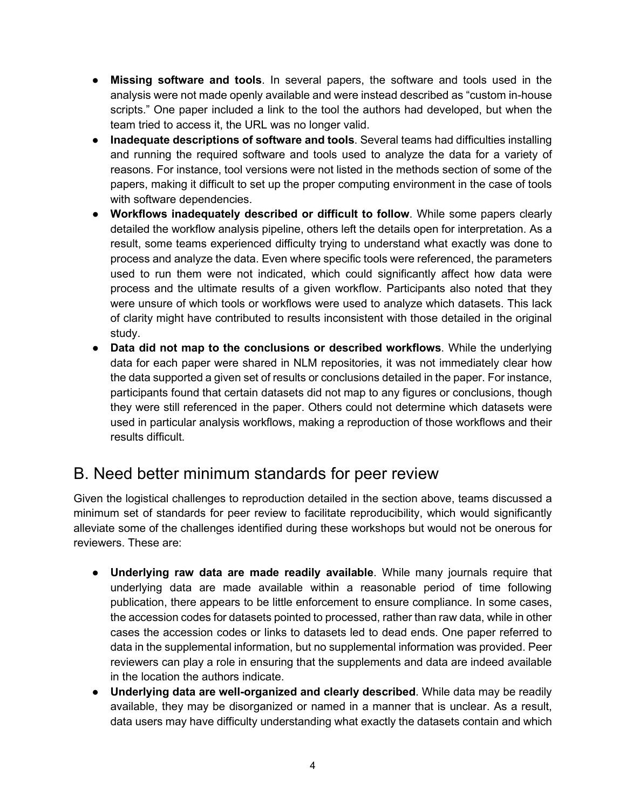- **Missing software and tools**. In several papers, the software and tools used in the analysis were not made openly available and were instead described as "custom in-house scripts." One paper included a link to the tool the authors had developed, but when the team tried to access it, the URL was no longer valid.
- **Inadequate descriptions of software and tools**. Several teams had difficulties installing and running the required software and tools used to analyze the data for a variety of reasons. For instance, tool versions were not listed in the methods section of some of the papers, making it difficult to set up the proper computing environment in the case of tools with software dependencies.
- **Workflows inadequately described or difficult to follow**. While some papers clearly detailed the workflow analysis pipeline, others left the details open for interpretation. As a result, some teams experienced difficulty trying to understand what exactly was done to process and analyze the data. Even where specific tools were referenced, the parameters used to run them were not indicated, which could significantly affect how data were process and the ultimate results of a given workflow. Participants also noted that they were unsure of which tools or workflows were used to analyze which datasets. This lack of clarity might have contributed to results inconsistent with those detailed in the original study.
- **Data did not map to the conclusions or described workflows**. While the underlying data for each paper were shared in NLM repositories, it was not immediately clear how the data supported a given set of results or conclusions detailed in the paper. For instance, participants found that certain datasets did not map to any figures or conclusions, though they were still referenced in the paper. Others could not determine which datasets were used in particular analysis workflows, making a reproduction of those workflows and their results difficult.

#### B. Need better minimum standards for peer review

Given the logistical challenges to reproduction detailed in the section above, teams discussed a minimum set of standards for peer review to facilitate reproducibility, which would significantly alleviate some of the challenges identified during these workshops but would not be onerous for reviewers. These are:

- **Underlying raw data are made readily available**. While many journals require that underlying data are made available within a reasonable period of time following publication, there appears to be little enforcement to ensure compliance. In some cases, the accession codes for datasets pointed to processed, rather than raw data, while in other cases the accession codes or links to datasets led to dead ends. One paper referred to data in the supplemental information, but no supplemental information was provided. Peer reviewers can play a role in ensuring that the supplements and data are indeed available in the location the authors indicate.
- **Underlying data are well-organized and clearly described**. While data may be readily available, they may be disorganized or named in a manner that is unclear. As a result, data users may have difficulty understanding what exactly the datasets contain and which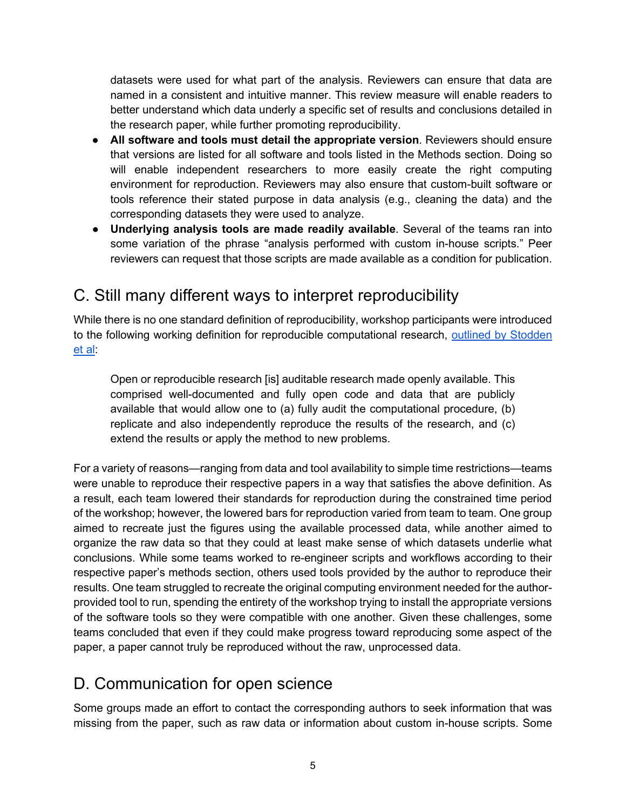datasets were used for what part of the analysis. Reviewers can ensure that data are named in a consistent and intuitive manner. This review measure will enable readers to better understand which data underly a specific set of results and conclusions detailed in the research paper, while further promoting reproducibility.

- **All software and tools must detail the appropriate version**. Reviewers should ensure that versions are listed for all software and tools listed in the Methods section. Doing so will enable independent researchers to more easily create the right computing environment for reproduction. Reviewers may also ensure that custom-built software or tools reference their stated purpose in data analysis (e.g., cleaning the data) and the corresponding datasets they were used to analyze.
- **Underlying analysis tools are made readily available**. Several of the teams ran into some variation of the phrase "analysis performed with custom in-house scripts." Peer reviewers can request that those scripts are made available as a condition for publication.

#### C. Still many different ways to interpret reproducibility

While there is no one standard definition of reproducibility, workshop participants were introduced to the following working definition for reproducible computational research, [outlined by Stodden](http://stodden.net/icerm_report.pdf) [et al:](http://stodden.net/icerm_report.pdf)

Open or reproducible research [is] auditable research made openly available. This comprised well-documented and fully open code and data that are publicly available that would allow one to (a) fully audit the computational procedure, (b) replicate and also independently reproduce the results of the research, and (c) extend the results or apply the method to new problems.

For a variety of reasons—ranging from data and tool availability to simple time restrictions—teams were unable to reproduce their respective papers in a way that satisfies the above definition. As a result, each team lowered their standards for reproduction during the constrained time period of the workshop; however, the lowered bars for reproduction varied from team to team. One group aimed to recreate just the figures using the available processed data, while another aimed to organize the raw data so that they could at least make sense of which datasets underlie what conclusions. While some teams worked to re-engineer scripts and workflows according to their respective paper's methods section, others used tools provided by the author to reproduce their results. One team struggled to recreate the original computing environment needed for the authorprovided tool to run, spending the entirety of the workshop trying to install the appropriate versions of the software tools so they were compatible with one another. Given these challenges, some teams concluded that even if they could make progress toward reproducing some aspect of the paper, a paper cannot truly be reproduced without the raw, unprocessed data.

#### D. Communication for open science

Some groups made an effort to contact the corresponding authors to seek information that was missing from the paper, such as raw data or information about custom in-house scripts. Some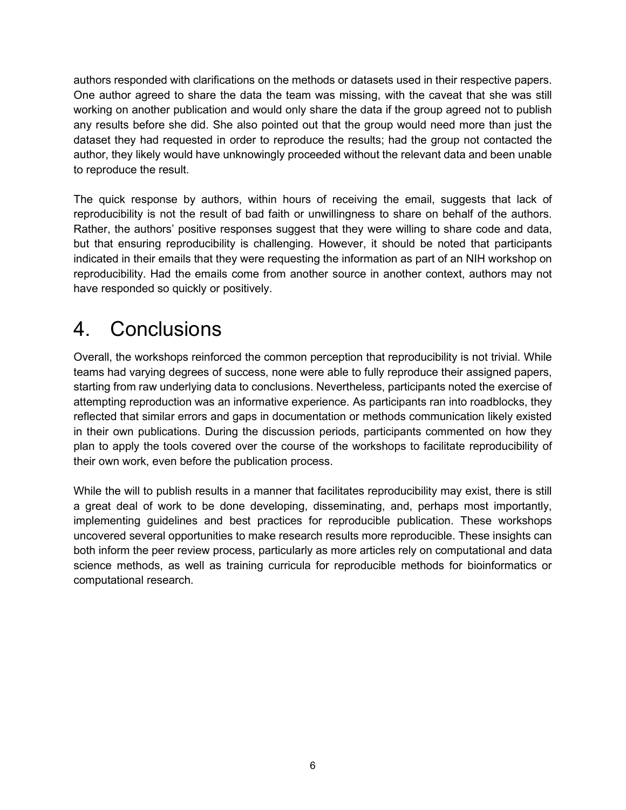authors responded with clarifications on the methods or datasets used in their respective papers. One author agreed to share the data the team was missing, with the caveat that she was still working on another publication and would only share the data if the group agreed not to publish any results before she did. She also pointed out that the group would need more than just the dataset they had requested in order to reproduce the results; had the group not contacted the author, they likely would have unknowingly proceeded without the relevant data and been unable to reproduce the result.

The quick response by authors, within hours of receiving the email, suggests that lack of reproducibility is not the result of bad faith or unwillingness to share on behalf of the authors. Rather, the authors' positive responses suggest that they were willing to share code and data, but that ensuring reproducibility is challenging. However, it should be noted that participants indicated in their emails that they were requesting the information as part of an NIH workshop on reproducibility. Had the emails come from another source in another context, authors may not have responded so quickly or positively.

### 4. Conclusions

Overall, the workshops reinforced the common perception that reproducibility is not trivial. While teams had varying degrees of success, none were able to fully reproduce their assigned papers, starting from raw underlying data to conclusions. Nevertheless, participants noted the exercise of attempting reproduction was an informative experience. As participants ran into roadblocks, they reflected that similar errors and gaps in documentation or methods communication likely existed in their own publications. During the discussion periods, participants commented on how they plan to apply the tools covered over the course of the workshops to facilitate reproducibility of their own work, even before the publication process.

While the will to publish results in a manner that facilitates reproducibility may exist, there is still a great deal of work to be done developing, disseminating, and, perhaps most importantly, implementing guidelines and best practices for reproducible publication. These workshops uncovered several opportunities to make research results more reproducible. These insights can both inform the peer review process, particularly as more articles rely on computational and data science methods, as well as training curricula for reproducible methods for bioinformatics or computational research.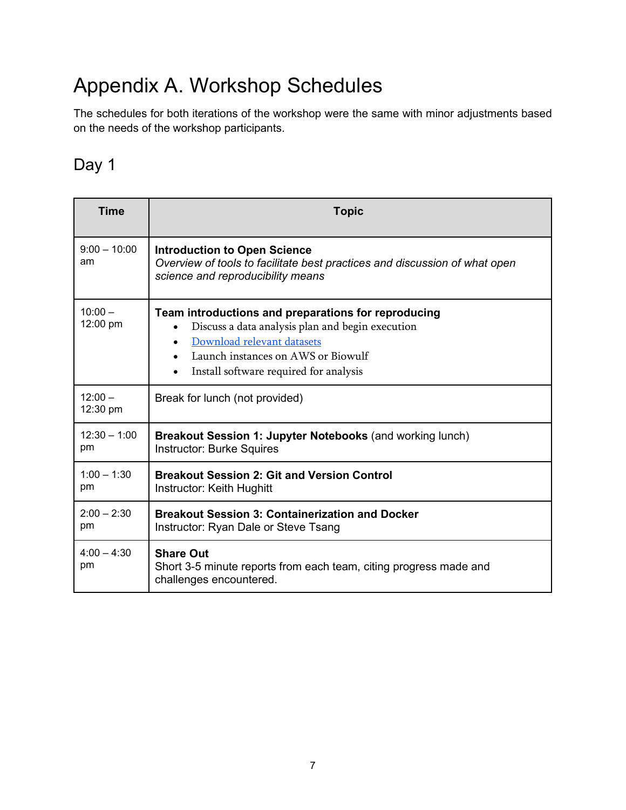# Appendix A. Workshop Schedules

The schedules for both iterations of the workshop were the same with minor adjustments based on the needs of the workshop participants.

#### Day 1

| <b>Time</b>           | <b>Topic</b>                                                                                                                                                                                                                                    |
|-----------------------|-------------------------------------------------------------------------------------------------------------------------------------------------------------------------------------------------------------------------------------------------|
| $9:00 - 10:00$<br>am  | <b>Introduction to Open Science</b><br>Overview of tools to facilitate best practices and discussion of what open<br>science and reproducibility means                                                                                          |
| $10:00 -$<br>12:00 pm | Team introductions and preparations for reproducing<br>Discuss a data analysis plan and begin execution<br>Download relevant datasets<br>$\bullet$<br>Launch instances on AWS or Biowulf<br>$\bullet$<br>Install software required for analysis |
| $12:00 -$<br>12:30 pm | Break for lunch (not provided)                                                                                                                                                                                                                  |
| $12:30 - 1:00$<br>pm  | Breakout Session 1: Jupyter Notebooks (and working lunch)<br><b>Instructor: Burke Squires</b>                                                                                                                                                   |
| $1:00 - 1:30$<br>pm   | <b>Breakout Session 2: Git and Version Control</b><br>Instructor: Keith Hughitt                                                                                                                                                                 |
| $2:00 - 2:30$<br>pm   | <b>Breakout Session 3: Containerization and Docker</b><br>Instructor: Ryan Dale or Steve Tsang                                                                                                                                                  |
| $4:00 - 4:30$<br>pm   | <b>Share Out</b><br>Short 3-5 minute reports from each team, citing progress made and<br>challenges encountered.                                                                                                                                |